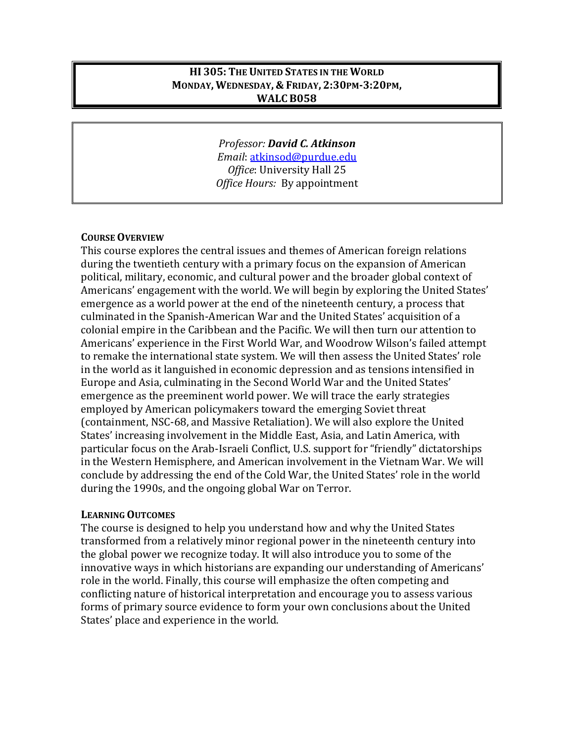#### **HI 305: THE UNITED STATES IN THE WORLD MONDAY, WEDNESDAY, & FRIDAY, 2:30PM-3:20PM, WALC B058**

*Professor: David C. Atkinson Email*: [atkinsod@purdue.edu](mailto:atkinsod@purdue.edu) *Office*: University Hall 25 *Office Hours:* By appointment

#### **COURSE OVERVIEW**

This course explores the central issues and themes of American foreign relations during the twentieth century with a primary focus on the expansion of American political, military, economic, and cultural power and the broader global context of Americans' engagement with the world. We will begin by exploring the United States' emergence as a world power at the end of the nineteenth century, a process that culminated in the Spanish-American War and the United States' acquisition of a colonial empire in the Caribbean and the Pacific. We will then turn our attention to Americans' experience in the First World War, and Woodrow Wilson's failed attempt to remake the international state system. We will then assess the United States' role in the world as it languished in economic depression and as tensions intensified in Europe and Asia, culminating in the Second World War and the United States' emergence as the preeminent world power. We will trace the early strategies employed by American policymakers toward the emerging Soviet threat (containment, NSC-68, and Massive Retaliation). We will also explore the United States' increasing involvement in the Middle East, Asia, and Latin America, with particular focus on the Arab-Israeli Conflict, U.S. support for "friendly" dictatorships in the Western Hemisphere, and American involvement in the Vietnam War. We will conclude by addressing the end of the Cold War, the United States' role in the world during the 1990s, and the ongoing global War on Terror.

#### **LEARNING OUTCOMES**

The course is designed to help you understand how and why the United States transformed from a relatively minor regional power in the nineteenth century into the global power we recognize today. It will also introduce you to some of the innovative ways in which historians are expanding our understanding of Americans' role in the world. Finally, this course will emphasize the often competing and conflicting nature of historical interpretation and encourage you to assess various forms of primary source evidence to form your own conclusions about the United States' place and experience in the world.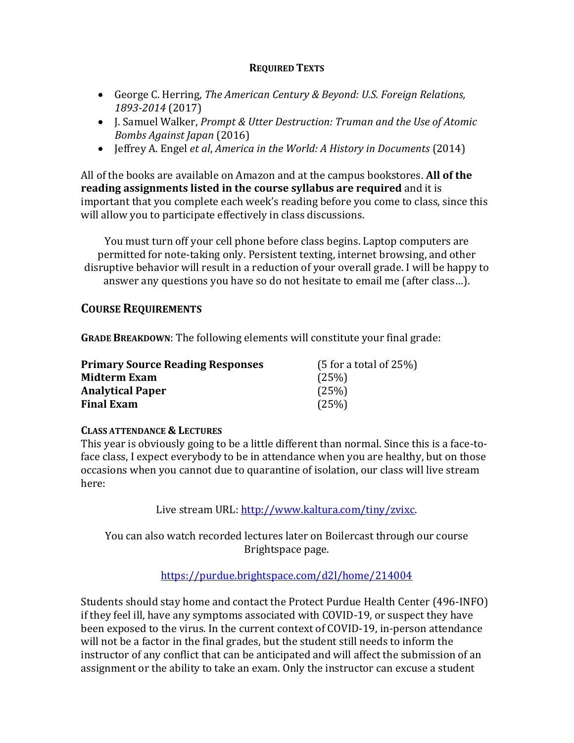#### **REQUIRED TEXTS**

- George C. Herring, *The American Century & Beyond: U.S. Foreign Relations, 1893-2014* (2017)
- J. Samuel Walker, *Prompt & Utter Destruction: Truman and the Use of Atomic Bombs Against Japan* (2016)
- Jeffrey A. Engel *et al*, *America in the World: A History in Documents* (2014)

All of the books are available on Amazon and at the campus bookstores. **All of the reading assignments listed in the course syllabus are required** and it is important that you complete each week's reading before you come to class, since this will allow you to participate effectively in class discussions.

You must turn off your cell phone before class begins. Laptop computers are permitted for note-taking only. Persistent texting, internet browsing, and other disruptive behavior will result in a reduction of your overall grade. I will be happy to answer any questions you have so do not hesitate to email me (after class…).

# **COURSE REQUIREMENTS**

**GRADE BREAKDOWN**: The following elements will constitute your final grade:

| <b>Primary Source Reading Responses</b> | $(5$ for a total of 25%) |
|-----------------------------------------|--------------------------|
| Midterm Exam                            | (25%)                    |
| <b>Analytical Paper</b>                 | (25%)                    |
| <b>Final Exam</b>                       | (25%)                    |

# **CLASS ATTENDANCE & LECTURES**

This year is obviously going to be a little different than normal. Since this is a face-toface class, I expect everybody to be in attendance when you are healthy, but on those occasions when you cannot due to quarantine of isolation, our class will live stream here:

Live stream URL: [http://www.kaltura.com/tiny/zvixc.](http://www.kaltura.com/tiny/zvixc)

You can also watch recorded lectures later on Boilercast through our course Brightspace page.

# <https://purdue.brightspace.com/d2l/home/214004>

Students should stay home and contact the Protect Purdue Health Center (496-INFO) if they feel ill, have any symptoms associated with COVID-19, or suspect they have been exposed to the virus. In the current context of COVID-19, in-person attendance will not be a factor in the final grades, but the student still needs to inform the instructor of any conflict that can be anticipated and will affect the submission of an assignment or the ability to take an exam. Only the instructor can excuse a student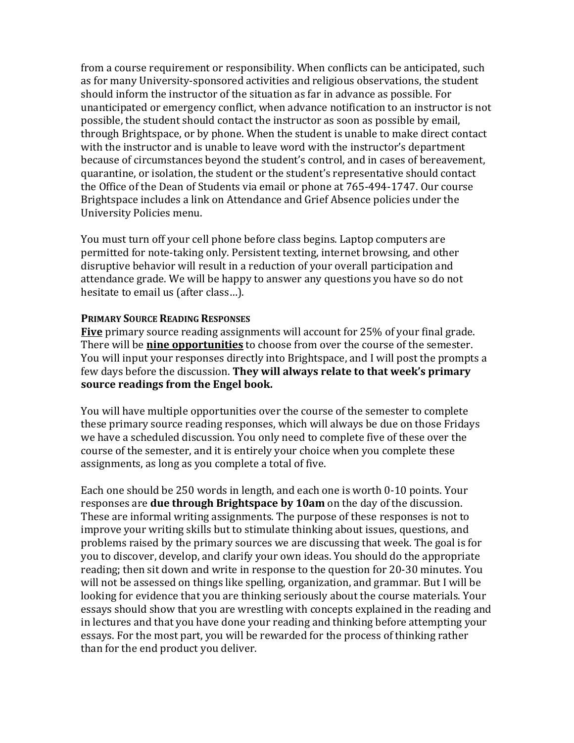from a course requirement or responsibility. When conflicts can be anticipated, such as for many University-sponsored activities and religious observations, the student should inform the instructor of the situation as far in advance as possible. For unanticipated or emergency conflict, when advance notification to an instructor is not possible, the student should contact the instructor as soon as possible by email, through Brightspace, or by phone. When the student is unable to make direct contact with the instructor and is unable to leave word with the instructor's department because of circumstances beyond the student's control, and in cases of bereavement, quarantine, or isolation, the student or the student's representative should contact the Office of the Dean of Students via email or phone at 765-494-1747. Our course Brightspace includes a link on Attendance and Grief Absence policies under the University Policies menu.

You must turn off your cell phone before class begins. Laptop computers are permitted for note-taking only. Persistent texting, internet browsing, and other disruptive behavior will result in a reduction of your overall participation and attendance grade. We will be happy to answer any questions you have so do not hesitate to email us (after class…).

#### **PRIMARY SOURCE READING RESPONSES**

**Five** primary source reading assignments will account for 25% of your final grade. There will be **nine opportunities** to choose from over the course of the semester. You will input your responses directly into Brightspace, and I will post the prompts a few days before the discussion. **They will always relate to that week's primary source readings from the Engel book.**

You will have multiple opportunities over the course of the semester to complete these primary source reading responses, which will always be due on those Fridays we have a scheduled discussion. You only need to complete five of these over the course of the semester, and it is entirely your choice when you complete these assignments, as long as you complete a total of five.

Each one should be 250 words in length, and each one is worth 0-10 points. Your responses are **due through Brightspace by 10am** on the day of the discussion. These are informal writing assignments. The purpose of these responses is not to improve your writing skills but to stimulate thinking about issues, questions, and problems raised by the primary sources we are discussing that week. The goal is for you to discover, develop, and clarify your own ideas. You should do the appropriate reading; then sit down and write in response to the question for 20-30 minutes. You will not be assessed on things like spelling, organization, and grammar. But I will be looking for evidence that you are thinking seriously about the course materials. Your essays should show that you are wrestling with concepts explained in the reading and in lectures and that you have done your reading and thinking before attempting your essays. For the most part, you will be rewarded for the process of thinking rather than for the end product you deliver.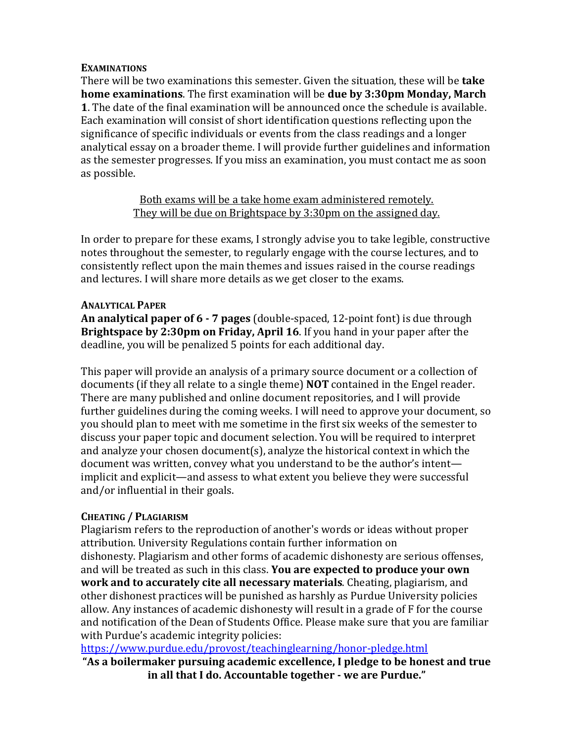#### **EXAMINATIONS**

There will be two examinations this semester. Given the situation, these will be **take home examinations**. The first examination will be **due by 3:30pm Monday, March 1**. The date of the final examination will be announced once the schedule is available. Each examination will consist of short identification questions reflecting upon the significance of specific individuals or events from the class readings and a longer analytical essay on a broader theme. I will provide further guidelines and information as the semester progresses. If you miss an examination, you must contact me as soon as possible.

> Both exams will be a take home exam administered remotely. They will be due on Brightspace by 3:30pm on the assigned day.

In order to prepare for these exams, I strongly advise you to take legible, constructive notes throughout the semester, to regularly engage with the course lectures, and to consistently reflect upon the main themes and issues raised in the course readings and lectures. I will share more details as we get closer to the exams.

# **ANALYTICAL PAPER**

**An analytical paper of 6 - 7 pages** (double-spaced, 12-point font) is due through **Brightspace by 2:30pm on Friday, April 16**. If you hand in your paper after the deadline, you will be penalized 5 points for each additional day.

This paper will provide an analysis of a primary source document or a collection of documents (if they all relate to a single theme) **NOT** contained in the Engel reader. There are many published and online document repositories, and I will provide further guidelines during the coming weeks. I will need to approve your document, so you should plan to meet with me sometime in the first six weeks of the semester to discuss your paper topic and document selection. You will be required to interpret and analyze your chosen document(s), analyze the historical context in which the document was written, convey what you understand to be the author's intent implicit and explicit—and assess to what extent you believe they were successful and/or influential in their goals.

# **CHEATING / PLAGIARISM**

Plagiarism refers to the reproduction of another's words or ideas without proper attribution. University Regulations contain further information on dishonesty. Plagiarism and other forms of academic dishonesty are serious offenses, and will be treated as such in this class. **You are expected to produce your own work and to accurately cite all necessary materials**. Cheating, plagiarism, and other dishonest practices will be punished as harshly as Purdue University policies allow. Any instances of academic dishonesty will result in a grade of F for the course and notification of the Dean of Students Office. Please make sure that you are familiar with Purdue's academic integrity policies:

<https://www.purdue.edu/provost/teachinglearning/honor-pledge.html>

**"As a boilermaker pursuing academic excellence, I pledge to be honest and true in all that I do. Accountable together - we are Purdue."**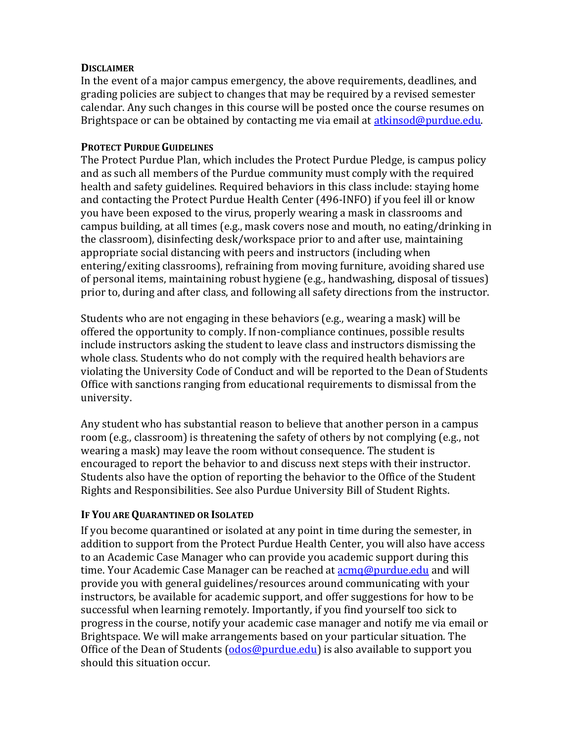#### **DISCLAIMER**

In the event of a major campus emergency, the above requirements, deadlines, and grading policies are subject to changes that may be required by a revised semester calendar. Any such changes in this course will be posted once the course resumes on Brightspace or can be obtained by contacting me via email at **atkinsod@purdue.edu.** 

# **PROTECT PURDUE GUIDELINES**

The Protect Purdue Plan, which includes the Protect Purdue Pledge, is campus policy and as such all members of the Purdue community must comply with the required health and safety guidelines. Required behaviors in this class include: staying home and contacting the Protect Purdue Health Center (496-INFO) if you feel ill or know you have been exposed to the virus, properly wearing a mask in classrooms and campus building, at all times (e.g., mask covers nose and mouth, no eating/drinking in the classroom), disinfecting desk/workspace prior to and after use, maintaining appropriate social distancing with peers and instructors (including when entering/exiting classrooms), refraining from moving furniture, avoiding shared use of personal items, maintaining robust hygiene (e.g., handwashing, disposal of tissues) prior to, during and after class, and following all safety directions from the instructor.

Students who are not engaging in these behaviors (e.g., wearing a mask) will be offered the opportunity to comply. If non-compliance continues, possible results include instructors asking the student to leave class and instructors dismissing the whole class. Students who do not comply with the required health behaviors are violating the University Code of Conduct and will be reported to the Dean of Students Office with sanctions ranging from educational requirements to dismissal from the university.

Any student who has substantial reason to believe that another person in a campus room (e.g., classroom) is threatening the safety of others by not complying (e.g., not wearing a mask) may leave the room without consequence. The student is encouraged to report the behavior to and discuss next steps with their instructor. Students also have the option of reporting the behavior to the Office of the Student Rights and Responsibilities. See also Purdue University Bill of Student Rights.

# **IF YOU ARE QUARANTINED OR ISOLATED**

If you become quarantined or isolated at any point in time during the semester, in addition to support from the Protect Purdue Health Center, you will also have access to an Academic Case Manager who can provide you academic support during this time. Your Academic Case Manager can be reached at  $\alpha$  [acmq@purdue.edu](mailto:acmq@purdue.edu) and will provide you with general guidelines/resources around communicating with your instructors, be available for academic support, and offer suggestions for how to be successful when learning remotely. Importantly, if you find yourself too sick to progress in the course, notify your academic case manager and notify me via email or Brightspace. We will make arrangements based on your particular situation. The Office of the Dean of Students  $(odos@purdue.edu)$  is also available to support you should this situation occur.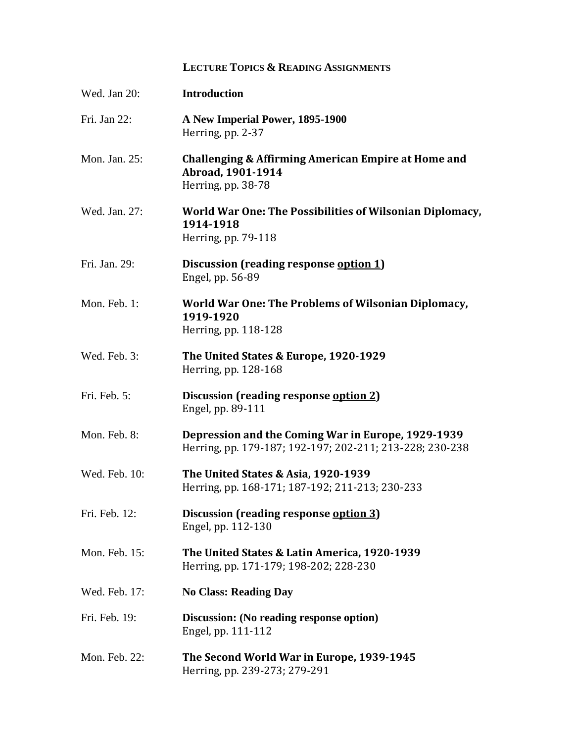# **LECTURE TOPICS & READING ASSIGNMENTS**

| Wed. Jan 20:  | <b>Introduction</b>                                                                                            |
|---------------|----------------------------------------------------------------------------------------------------------------|
| Fri. Jan 22:  | A New Imperial Power, 1895-1900<br>Herring, pp. 2-37                                                           |
| Mon. Jan. 25: | Challenging & Affirming American Empire at Home and<br>Abroad, 1901-1914<br>Herring, pp. 38-78                 |
| Wed. Jan. 27: | World War One: The Possibilities of Wilsonian Diplomacy,<br>1914-1918<br>Herring, pp. 79-118                   |
| Fri. Jan. 29: | Discussion (reading response option 1)<br>Engel, pp. 56-89                                                     |
| Mon. Feb. 1:  | World War One: The Problems of Wilsonian Diplomacy,<br>1919-1920<br>Herring, pp. 118-128                       |
| Wed. Feb. 3:  | The United States & Europe, 1920-1929<br>Herring, pp. 128-168                                                  |
| Fri. Feb. 5:  | Discussion (reading response option 2)<br>Engel, pp. 89-111                                                    |
| Mon. Feb. 8:  | Depression and the Coming War in Europe, 1929-1939<br>Herring, pp. 179-187; 192-197; 202-211; 213-228; 230-238 |
| Wed. Feb. 10: | The United States & Asia, 1920-1939<br>Herring, pp. 168-171; 187-192; 211-213; 230-233                         |
| Fri. Feb. 12: | Discussion (reading response option 3)<br>Engel, pp. 112-130                                                   |
| Mon. Feb. 15: | The United States & Latin America, 1920-1939<br>Herring, pp. 171-179; 198-202; 228-230                         |
| Wed. Feb. 17: | <b>No Class: Reading Day</b>                                                                                   |
| Fri. Feb. 19: | Discussion: (No reading response option)<br>Engel, pp. 111-112                                                 |
| Mon. Feb. 22: | The Second World War in Europe, 1939-1945<br>Herring, pp. 239-273; 279-291                                     |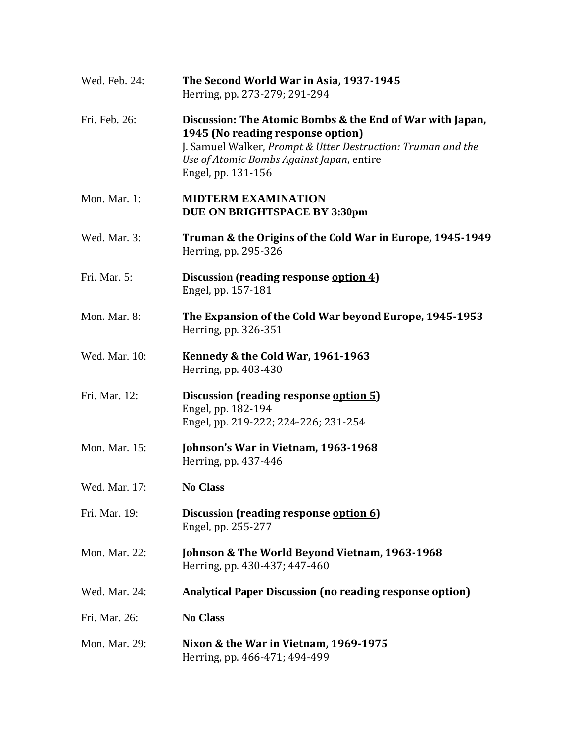| Wed. Feb. 24: | The Second World War in Asia, 1937-1945<br>Herring, pp. 273-279; 291-294                                                                                                                                                          |
|---------------|-----------------------------------------------------------------------------------------------------------------------------------------------------------------------------------------------------------------------------------|
| Fri. Feb. 26: | Discussion: The Atomic Bombs & the End of War with Japan,<br>1945 (No reading response option)<br>J. Samuel Walker, Prompt & Utter Destruction: Truman and the<br>Use of Atomic Bombs Against Japan, entire<br>Engel, pp. 131-156 |
| Mon. Mar. 1:  | <b>MIDTERM EXAMINATION</b><br>DUE ON BRIGHTSPACE BY 3:30pm                                                                                                                                                                        |
| Wed. Mar. 3:  | Truman & the Origins of the Cold War in Europe, 1945-1949<br>Herring, pp. 295-326                                                                                                                                                 |
| Fri. Mar. 5:  | Discussion (reading response option 4)<br>Engel, pp. 157-181                                                                                                                                                                      |
| Mon. Mar. 8:  | The Expansion of the Cold War beyond Europe, 1945-1953<br>Herring, pp. 326-351                                                                                                                                                    |
| Wed. Mar. 10: | Kennedy & the Cold War, 1961-1963<br>Herring, pp. 403-430                                                                                                                                                                         |
| Fri. Mar. 12: | <b>Discussion (reading response option 5)</b><br>Engel, pp. 182-194<br>Engel, pp. 219-222; 224-226; 231-254                                                                                                                       |
| Mon. Mar. 15: | Johnson's War in Vietnam, 1963-1968<br>Herring, pp. 437-446                                                                                                                                                                       |
| Wed. Mar. 17: | <b>No Class</b>                                                                                                                                                                                                                   |
| Fri. Mar. 19: | Discussion (reading response option 6)<br>Engel, pp. 255-277                                                                                                                                                                      |
| Mon. Mar. 22: | Johnson & The World Beyond Vietnam, 1963-1968<br>Herring, pp. 430-437; 447-460                                                                                                                                                    |
| Wed. Mar. 24: | <b>Analytical Paper Discussion (no reading response option)</b>                                                                                                                                                                   |
| Fri. Mar. 26: | <b>No Class</b>                                                                                                                                                                                                                   |
| Mon. Mar. 29: | Nixon & the War in Vietnam, 1969-1975<br>Herring, pp. 466-471; 494-499                                                                                                                                                            |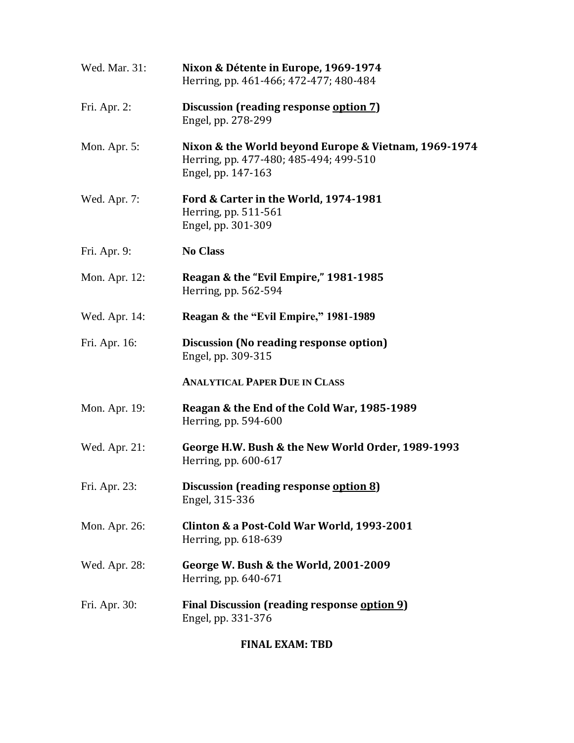| Wed. Mar. 31: | Nixon & Détente in Europe, 1969-1974<br>Herring, pp. 461-466; 472-477; 480-484                                       |
|---------------|----------------------------------------------------------------------------------------------------------------------|
| Fri. Apr. 2:  | Discussion (reading response option 7)<br>Engel, pp. 278-299                                                         |
| Mon. Apr. 5:  | Nixon & the World beyond Europe & Vietnam, 1969-1974<br>Herring, pp. 477-480; 485-494; 499-510<br>Engel, pp. 147-163 |
| Wed. Apr. 7:  | Ford & Carter in the World, 1974-1981<br>Herring, pp. 511-561<br>Engel, pp. 301-309                                  |
| Fri. Apr. 9:  | <b>No Class</b>                                                                                                      |
| Mon. Apr. 12: | Reagan & the "Evil Empire," 1981-1985<br>Herring, pp. 562-594                                                        |
| Wed. Apr. 14: | Reagan & the "Evil Empire," 1981-1989                                                                                |
| Fri. Apr. 16: | <b>Discussion (No reading response option)</b><br>Engel, pp. 309-315                                                 |
|               | <b>ANALYTICAL PAPER DUE IN CLASS</b>                                                                                 |
| Mon. Apr. 19: | Reagan & the End of the Cold War, 1985-1989<br>Herring, pp. 594-600                                                  |
| Wed. Apr. 21: | George H.W. Bush & the New World Order, 1989-1993<br>Herring, pp. $600-617$                                          |
| Fri. Apr. 23: | Discussion (reading response option 8)<br>Engel, 315-336                                                             |
| Mon. Apr. 26: | Clinton & a Post-Cold War World, 1993-2001<br>Herring, pp. 618-639                                                   |
| Wed. Apr. 28: | George W. Bush & the World, 2001-2009<br>Herring, pp. 640-671                                                        |
| Fri. Apr. 30: | Final Discussion (reading response option 9)<br>Engel, pp. 331-376                                                   |

**FINAL EXAM: TBD**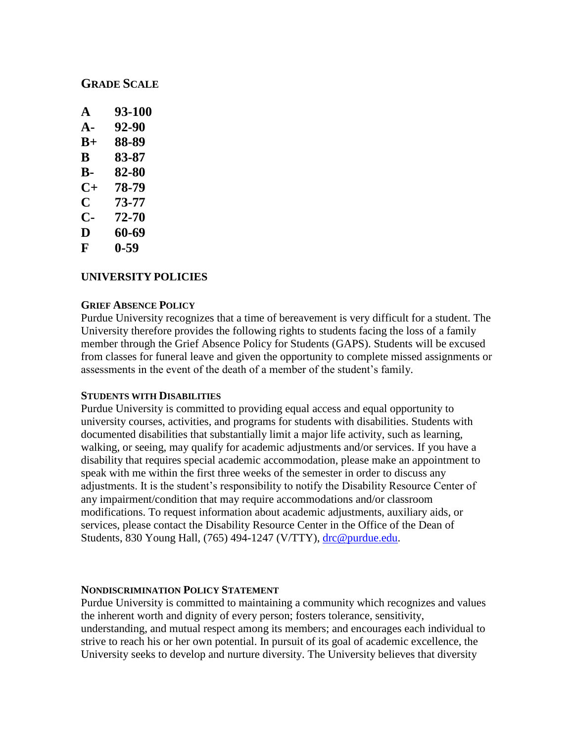# **GRADE SCALE**

| A             | 93-100 |
|---------------|--------|
| A-            | 92-90  |
| $\mathbf{B}+$ | 88-89  |
| В             | 83-87  |
| В-            | 82-80  |
| $C+$          | 78-79  |
| C             | 73-77  |
| C-            | 72-70  |
| D             | 60-69  |
|               |        |

#### **F 0-59**

# **UNIVERSITY POLICIES**

#### **GRIEF ABSENCE POLICY**

Purdue University recognizes that a time of bereavement is very difficult for a student. The University therefore provides the following rights to students facing the loss of a family member through the Grief Absence Policy for Students (GAPS). Students will be excused from classes for funeral leave and given the opportunity to complete missed assignments or assessments in the event of the death of a member of the student's family.

#### **STUDENTS WITH DISABILITIES**

Purdue University is committed to providing equal access and equal opportunity to university courses, activities, and programs for students with disabilities. Students with documented disabilities that substantially limit a major life activity, such as learning, walking, or seeing, may qualify for academic adjustments and/or services. If you have a disability that requires special academic accommodation, please make an appointment to speak with me within the first three weeks of the semester in order to discuss any adjustments. It is the student's responsibility to notify the Disability Resource Center of any impairment/condition that may require accommodations and/or classroom modifications. To request information about academic adjustments, auxiliary aids, or services, please contact the Disability Resource Center in the Office of the Dean of Students, 830 Young Hall, (765) 494-1247 (V/TTY), [drc@purdue.edu.](mailto:drc@purdue.edu)

#### **NONDISCRIMINATION POLICY STATEMENT**

Purdue University is committed to maintaining a community which recognizes and values the inherent worth and dignity of every person; fosters tolerance, sensitivity, understanding, and mutual respect among its members; and encourages each individual to strive to reach his or her own potential. In pursuit of its goal of academic excellence, the University seeks to develop and nurture diversity. The University believes that diversity